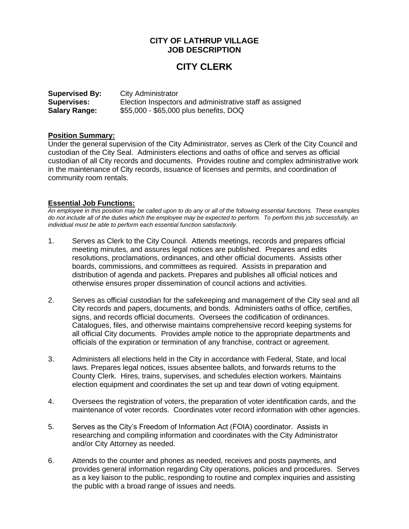# **CITY OF LATHRUP VILLAGE JOB DESCRIPTION**

# **CITY CLERK**

| <b>Supervised By:</b> | City Administrator                                       |
|-----------------------|----------------------------------------------------------|
| Supervises:           | Election Inspectors and administrative staff as assigned |
| <b>Salary Range:</b>  | \$55,000 - \$65,000 plus benefits, DOQ                   |

#### **Position Summary:**

Under the general supervision of the City Administrator, serves as Clerk of the City Council and custodian of the City Seal. Administers elections and oaths of office and serves as official custodian of all City records and documents. Provides routine and complex administrative work in the maintenance of City records, issuance of licenses and permits, and coordination of community room rentals.

#### **Essential Job Functions:**

*An employee in this position may be called upon to do any or all of the following essential functions. These examples do not include all of the duties which the employee may be expected to perform. To perform this job successfully, an individual must be able to perform each essential function satisfactorily.*

- 1. Serves as Clerk to the City Council. Attends meetings, records and prepares official meeting minutes, and assures legal notices are published. Prepares and edits resolutions, proclamations, ordinances, and other official documents. Assists other boards, commissions, and committees as required. Assists in preparation and distribution of agenda and packets. Prepares and publishes all official notices and otherwise ensures proper dissemination of council actions and activities.
- 2. Serves as official custodian for the safekeeping and management of the City seal and all City records and papers, documents, and bonds. Administers oaths of office, certifies, signs, and records official documents. Oversees the codification of ordinances. Catalogues, files, and otherwise maintains comprehensive record keeping systems for all official City documents. Provides ample notice to the appropriate departments and officials of the expiration or termination of any franchise, contract or agreement.
- 3. Administers all elections held in the City in accordance with Federal, State, and local laws. Prepares legal notices, issues absentee ballots, and forwards returns to the County Clerk. Hires, trains, supervises, and schedules election workers. Maintains election equipment and coordinates the set up and tear down of voting equipment.
- 4. Oversees the registration of voters, the preparation of voter identification cards, and the maintenance of voter records. Coordinates voter record information with other agencies.
- 5. Serves as the City's Freedom of Information Act (FOIA) coordinator. Assists in researching and compiling information and coordinates with the City Administrator and/or City Attorney as needed.
- 6. Attends to the counter and phones as needed, receives and posts payments, and provides general information regarding City operations, policies and procedures. Serves as a key liaison to the public, responding to routine and complex inquiries and assisting the public with a broad range of issues and needs.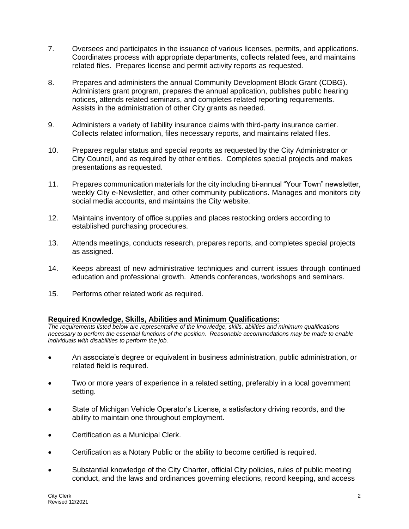- 7. Oversees and participates in the issuance of various licenses, permits, and applications. Coordinates process with appropriate departments, collects related fees, and maintains related files. Prepares license and permit activity reports as requested.
- 8. Prepares and administers the annual Community Development Block Grant (CDBG). Administers grant program, prepares the annual application, publishes public hearing notices, attends related seminars, and completes related reporting requirements. Assists in the administration of other City grants as needed.
- 9. Administers a variety of liability insurance claims with third-party insurance carrier. Collects related information, files necessary reports, and maintains related files.
- 10. Prepares regular status and special reports as requested by the City Administrator or City Council, and as required by other entities. Completes special projects and makes presentations as requested.
- 11. Prepares communication materials for the city including bi-annual "Your Town" newsletter, weekly City e-Newsletter, and other community publications. Manages and monitors city social media accounts, and maintains the City website.
- 12. Maintains inventory of office supplies and places restocking orders according to established purchasing procedures.
- 13. Attends meetings, conducts research, prepares reports, and completes special projects as assigned.
- 14. Keeps abreast of new administrative techniques and current issues through continued education and professional growth. Attends conferences, workshops and seminars.
- 15. Performs other related work as required.

## **Required Knowledge, Skills, Abilities and Minimum Qualifications:**

*The requirements listed below are representative of the knowledge, skills, abilities and minimum qualifications necessary to perform the essential functions of the position. Reasonable accommodations may be made to enable individuals with disabilities to perform the job.*

- An associate's degree or equivalent in business administration, public administration, or related field is required.
- Two or more years of experience in a related setting, preferably in a local government setting.
- State of Michigan Vehicle Operator's License, a satisfactory driving records, and the ability to maintain one throughout employment.
- Certification as a Municipal Clerk.
- Certification as a Notary Public or the ability to become certified is required.
- Substantial knowledge of the City Charter, official City policies, rules of public meeting conduct, and the laws and ordinances governing elections, record keeping, and access